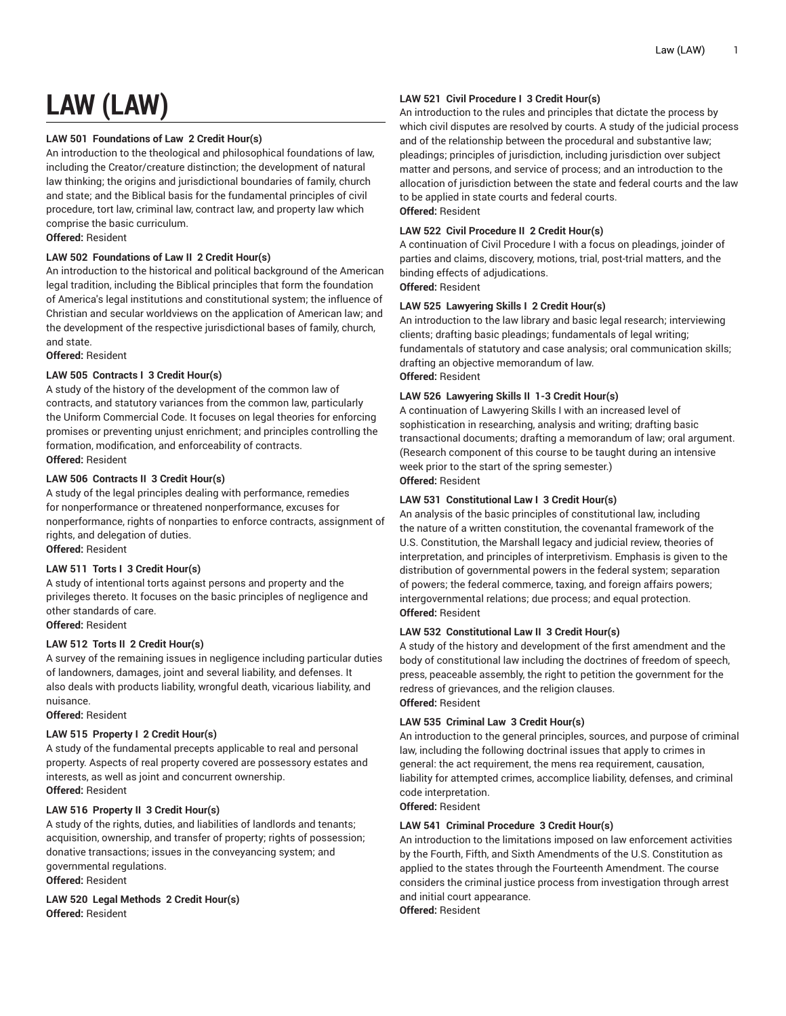# **LAW (LAW)**

# **LAW 501 Foundations of Law 2 Credit Hour(s)**

An introduction to the theological and philosophical foundations of law, including the Creator/creature distinction; the development of natural law thinking; the origins and jurisdictional boundaries of family, church and state; and the Biblical basis for the fundamental principles of civil procedure, tort law, criminal law, contract law, and property law which comprise the basic curriculum.

**Offered:** Resident

# **LAW 502 Foundations of Law II 2 Credit Hour(s)**

An introduction to the historical and political background of the American legal tradition, including the Biblical principles that form the foundation of America's legal institutions and constitutional system; the influence of Christian and secular worldviews on the application of American law; and the development of the respective jurisdictional bases of family, church, and state.

**Offered:** Resident

# **LAW 505 Contracts I 3 Credit Hour(s)**

A study of the history of the development of the common law of contracts, and statutory variances from the common law, particularly the Uniform Commercial Code. It focuses on legal theories for enforcing promises or preventing unjust enrichment; and principles controlling the formation, modification, and enforceability of contracts. **Offered:** Resident

# **LAW 506 Contracts II 3 Credit Hour(s)**

A study of the legal principles dealing with performance, remedies for nonperformance or threatened nonperformance, excuses for nonperformance, rights of nonparties to enforce contracts, assignment of rights, and delegation of duties.

# **Offered:** Resident

# **LAW 511 Torts I 3 Credit Hour(s)**

A study of intentional torts against persons and property and the privileges thereto. It focuses on the basic principles of negligence and other standards of care. **Offered:** Resident

# **LAW 512 Torts II 2 Credit Hour(s)**

A survey of the remaining issues in negligence including particular duties of landowners, damages, joint and several liability, and defenses. It also deals with products liability, wrongful death, vicarious liability, and nuisance.

**Offered:** Resident

# **LAW 515 Property I 2 Credit Hour(s)**

A study of the fundamental precepts applicable to real and personal property. Aspects of real property covered are possessory estates and interests, as well as joint and concurrent ownership. **Offered:** Resident

# **LAW 516 Property II 3 Credit Hour(s)**

A study of the rights, duties, and liabilities of landlords and tenants; acquisition, ownership, and transfer of property; rights of possession; donative transactions; issues in the conveyancing system; and governmental regulations.

**Offered:** Resident

**LAW 520 Legal Methods 2 Credit Hour(s) Offered:** Resident

# **LAW 521 Civil Procedure I 3 Credit Hour(s)**

An introduction to the rules and principles that dictate the process by which civil disputes are resolved by courts. A study of the judicial process and of the relationship between the procedural and substantive law; pleadings; principles of jurisdiction, including jurisdiction over subject matter and persons, and service of process; and an introduction to the allocation of jurisdiction between the state and federal courts and the law to be applied in state courts and federal courts. **Offered:** Resident

# **LAW 522 Civil Procedure II 2 Credit Hour(s)**

A continuation of Civil Procedure I with a focus on pleadings, joinder of parties and claims, discovery, motions, trial, post-trial matters, and the binding effects of adjudications. **Offered:** Resident

# **LAW 525 Lawyering Skills I 2 Credit Hour(s)**

An introduction to the law library and basic legal research; interviewing clients; drafting basic pleadings; fundamentals of legal writing; fundamentals of statutory and case analysis; oral communication skills; drafting an objective memorandum of law. **Offered:** Resident

### **LAW 526 Lawyering Skills II 1-3 Credit Hour(s)**

A continuation of Lawyering Skills I with an increased level of sophistication in researching, analysis and writing; drafting basic transactional documents; drafting a memorandum of law; oral argument. (Research component of this course to be taught during an intensive week prior to the start of the spring semester.) **Offered:** Resident

# **LAW 531 Constitutional Law I 3 Credit Hour(s)**

An analysis of the basic principles of constitutional law, including the nature of a written constitution, the covenantal framework of the U.S. Constitution, the Marshall legacy and judicial review, theories of interpretation, and principles of interpretivism. Emphasis is given to the distribution of governmental powers in the federal system; separation of powers; the federal commerce, taxing, and foreign affairs powers; intergovernmental relations; due process; and equal protection. **Offered:** Resident

# **LAW 532 Constitutional Law II 3 Credit Hour(s)**

A study of the history and development of the first amendment and the body of constitutional law including the doctrines of freedom of speech, press, peaceable assembly, the right to petition the government for the redress of grievances, and the religion clauses. **Offered:** Resident

# **LAW 535 Criminal Law 3 Credit Hour(s)**

An introduction to the general principles, sources, and purpose of criminal law, including the following doctrinal issues that apply to crimes in general: the act requirement, the mens rea requirement, causation, liability for attempted crimes, accomplice liability, defenses, and criminal code interpretation.

**Offered:** Resident

# **LAW 541 Criminal Procedure 3 Credit Hour(s)**

An introduction to the limitations imposed on law enforcement activities by the Fourth, Fifth, and Sixth Amendments of the U.S. Constitution as applied to the states through the Fourteenth Amendment. The course considers the criminal justice process from investigation through arrest and initial court appearance.

**Offered:** Resident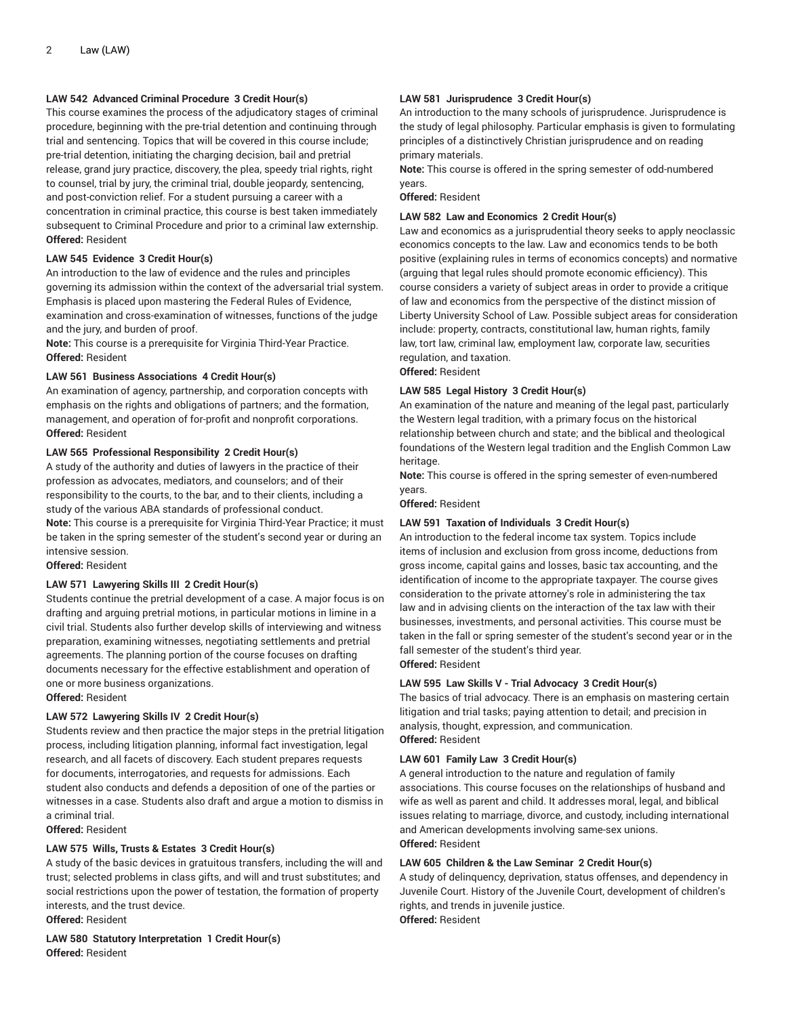# **LAW 542 Advanced Criminal Procedure 3 Credit Hour(s)**

This course examines the process of the adjudicatory stages of criminal procedure, beginning with the pre-trial detention and continuing through trial and sentencing. Topics that will be covered in this course include; pre-trial detention, initiating the charging decision, bail and pretrial release, grand jury practice, discovery, the plea, speedy trial rights, right to counsel, trial by jury, the criminal trial, double jeopardy, sentencing, and post-conviction relief. For a student pursuing a career with a concentration in criminal practice, this course is best taken immediately subsequent to Criminal Procedure and prior to a criminal law externship. **Offered:** Resident

### **LAW 545 Evidence 3 Credit Hour(s)**

An introduction to the law of evidence and the rules and principles governing its admission within the context of the adversarial trial system. Emphasis is placed upon mastering the Federal Rules of Evidence, examination and cross-examination of witnesses, functions of the judge and the jury, and burden of proof.

**Note:** This course is a prerequisite for Virginia Third-Year Practice. **Offered:** Resident

#### **LAW 561 Business Associations 4 Credit Hour(s)**

An examination of agency, partnership, and corporation concepts with emphasis on the rights and obligations of partners; and the formation, management, and operation of for-profit and nonprofit corporations. **Offered:** Resident

### **LAW 565 Professional Responsibility 2 Credit Hour(s)**

A study of the authority and duties of lawyers in the practice of their profession as advocates, mediators, and counselors; and of their responsibility to the courts, to the bar, and to their clients, including a study of the various ABA standards of professional conduct. **Note:** This course is a prerequisite for Virginia Third-Year Practice; it must be taken in the spring semester of the student's second year or during an intensive session.

**Offered:** Resident

#### **LAW 571 Lawyering Skills III 2 Credit Hour(s)**

Students continue the pretrial development of a case. A major focus is on drafting and arguing pretrial motions, in particular motions in limine in a civil trial. Students also further develop skills of interviewing and witness preparation, examining witnesses, negotiating settlements and pretrial agreements. The planning portion of the course focuses on drafting documents necessary for the effective establishment and operation of one or more business organizations.

#### **Offered:** Resident

# **LAW 572 Lawyering Skills IV 2 Credit Hour(s)**

Students review and then practice the major steps in the pretrial litigation process, including litigation planning, informal fact investigation, legal research, and all facets of discovery. Each student prepares requests for documents, interrogatories, and requests for admissions. Each student also conducts and defends a deposition of one of the parties or witnesses in a case. Students also draft and argue a motion to dismiss in a criminal trial.

**Offered:** Resident

#### **LAW 575 Wills, Trusts & Estates 3 Credit Hour(s)**

A study of the basic devices in gratuitous transfers, including the will and trust; selected problems in class gifts, and will and trust substitutes; and social restrictions upon the power of testation, the formation of property interests, and the trust device.

**Offered:** Resident

**LAW 580 Statutory Interpretation 1 Credit Hour(s) Offered:** Resident

### **LAW 581 Jurisprudence 3 Credit Hour(s)**

An introduction to the many schools of jurisprudence. Jurisprudence is the study of legal philosophy. Particular emphasis is given to formulating principles of a distinctively Christian jurisprudence and on reading primary materials.

**Note:** This course is offered in the spring semester of odd-numbered years.

**Offered:** Resident

#### **LAW 582 Law and Economics 2 Credit Hour(s)**

Law and economics as a jurisprudential theory seeks to apply neoclassic economics concepts to the law. Law and economics tends to be both positive (explaining rules in terms of economics concepts) and normative (arguing that legal rules should promote economic efficiency). This course considers a variety of subject areas in order to provide a critique of law and economics from the perspective of the distinct mission of Liberty University School of Law. Possible subject areas for consideration include: property, contracts, constitutional law, human rights, family law, tort law, criminal law, employment law, corporate law, securities regulation, and taxation.

**Offered:** Resident

#### **LAW 585 Legal History 3 Credit Hour(s)**

An examination of the nature and meaning of the legal past, particularly the Western legal tradition, with a primary focus on the historical relationship between church and state; and the biblical and theological foundations of the Western legal tradition and the English Common Law heritage.

**Note:** This course is offered in the spring semester of even-numbered years.

**Offered:** Resident

#### **LAW 591 Taxation of Individuals 3 Credit Hour(s)**

An introduction to the federal income tax system. Topics include items of inclusion and exclusion from gross income, deductions from gross income, capital gains and losses, basic tax accounting, and the identification of income to the appropriate taxpayer. The course gives consideration to the private attorney's role in administering the tax law and in advising clients on the interaction of the tax law with their businesses, investments, and personal activities. This course must be taken in the fall or spring semester of the student's second year or in the fall semester of the student's third year. **Offered:** Resident

#### **LAW 595 Law Skills V - Trial Advocacy 3 Credit Hour(s)**

The basics of trial advocacy. There is an emphasis on mastering certain litigation and trial tasks; paying attention to detail; and precision in analysis, thought, expression, and communication. **Offered:** Resident

#### **LAW 601 Family Law 3 Credit Hour(s)**

A general introduction to the nature and regulation of family associations. This course focuses on the relationships of husband and wife as well as parent and child. It addresses moral, legal, and biblical issues relating to marriage, divorce, and custody, including international and American developments involving same-sex unions. **Offered:** Resident

#### **LAW 605 Children & the Law Seminar 2 Credit Hour(s)**

A study of delinquency, deprivation, status offenses, and dependency in Juvenile Court. History of the Juvenile Court, development of children's rights, and trends in juvenile justice. **Offered:** Resident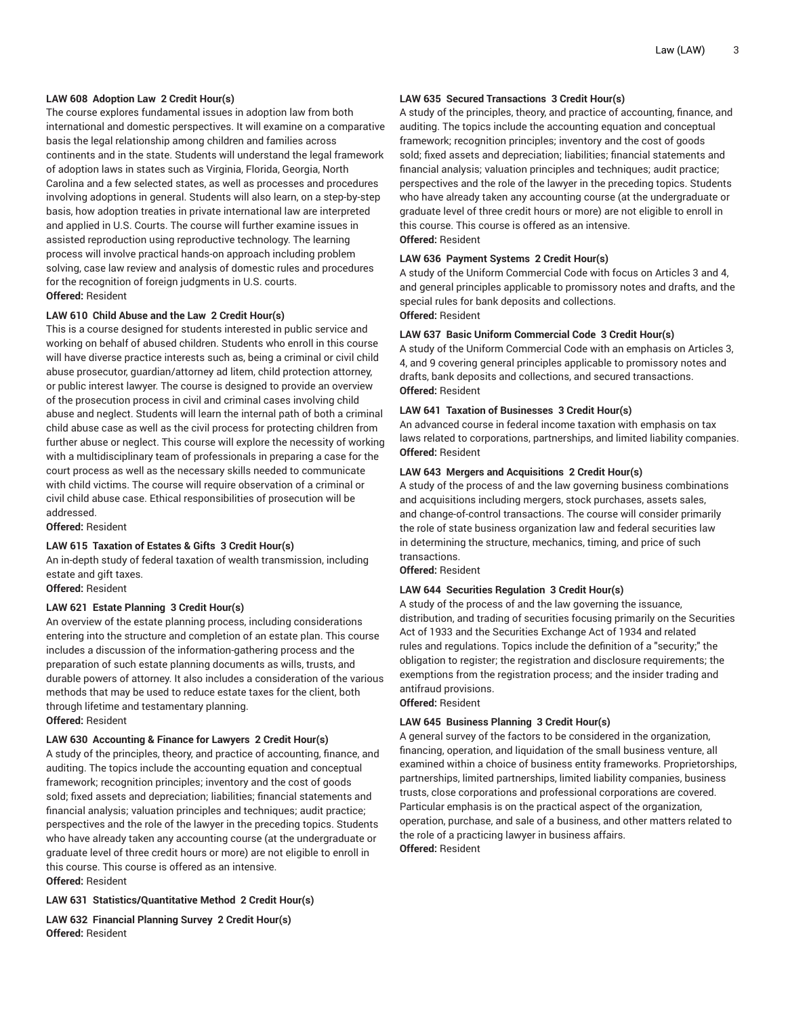#### **LAW 608 Adoption Law 2 Credit Hour(s)**

The course explores fundamental issues in adoption law from both international and domestic perspectives. It will examine on a comparative basis the legal relationship among children and families across continents and in the state. Students will understand the legal framework of adoption laws in states such as Virginia, Florida, Georgia, North Carolina and a few selected states, as well as processes and procedures involving adoptions in general. Students will also learn, on a step-by-step basis, how adoption treaties in private international law are interpreted and applied in U.S. Courts. The course will further examine issues in assisted reproduction using reproductive technology. The learning process will involve practical hands-on approach including problem solving, case law review and analysis of domestic rules and procedures for the recognition of foreign judgments in U.S. courts. **Offered:** Resident

#### **LAW 610 Child Abuse and the Law 2 Credit Hour(s)**

This is a course designed for students interested in public service and working on behalf of abused children. Students who enroll in this course will have diverse practice interests such as, being a criminal or civil child abuse prosecutor, guardian/attorney ad litem, child protection attorney, or public interest lawyer. The course is designed to provide an overview of the prosecution process in civil and criminal cases involving child abuse and neglect. Students will learn the internal path of both a criminal child abuse case as well as the civil process for protecting children from further abuse or neglect. This course will explore the necessity of working with a multidisciplinary team of professionals in preparing a case for the court process as well as the necessary skills needed to communicate with child victims. The course will require observation of a criminal or civil child abuse case. Ethical responsibilities of prosecution will be addressed.

**Offered:** Resident

#### **LAW 615 Taxation of Estates & Gifts 3 Credit Hour(s)**

An in-depth study of federal taxation of wealth transmission, including estate and gift taxes.

**Offered:** Resident

#### **LAW 621 Estate Planning 3 Credit Hour(s)**

An overview of the estate planning process, including considerations entering into the structure and completion of an estate plan. This course includes a discussion of the information-gathering process and the preparation of such estate planning documents as wills, trusts, and durable powers of attorney. It also includes a consideration of the various methods that may be used to reduce estate taxes for the client, both through lifetime and testamentary planning. **Offered:** Resident

# **LAW 630 Accounting & Finance for Lawyers 2 Credit Hour(s)**

A study of the principles, theory, and practice of accounting, finance, and auditing. The topics include the accounting equation and conceptual framework; recognition principles; inventory and the cost of goods sold; fixed assets and depreciation; liabilities; financial statements and financial analysis; valuation principles and techniques; audit practice; perspectives and the role of the lawyer in the preceding topics. Students who have already taken any accounting course (at the undergraduate or graduate level of three credit hours or more) are not eligible to enroll in this course. This course is offered as an intensive. **Offered:** Resident

#### **LAW 631 Statistics/Quantitative Method 2 Credit Hour(s)**

**LAW 632 Financial Planning Survey 2 Credit Hour(s) Offered:** Resident

#### **LAW 635 Secured Transactions 3 Credit Hour(s)**

A study of the principles, theory, and practice of accounting, finance, and auditing. The topics include the accounting equation and conceptual framework; recognition principles; inventory and the cost of goods sold; fixed assets and depreciation; liabilities; financial statements and financial analysis; valuation principles and techniques; audit practice; perspectives and the role of the lawyer in the preceding topics. Students who have already taken any accounting course (at the undergraduate or graduate level of three credit hours or more) are not eligible to enroll in this course. This course is offered as an intensive. **Offered:** Resident

#### **LAW 636 Payment Systems 2 Credit Hour(s)**

A study of the Uniform Commercial Code with focus on Articles 3 and 4, and general principles applicable to promissory notes and drafts, and the special rules for bank deposits and collections. **Offered:** Resident

#### **LAW 637 Basic Uniform Commercial Code 3 Credit Hour(s)**

A study of the Uniform Commercial Code with an emphasis on Articles 3, 4, and 9 covering general principles applicable to promissory notes and drafts, bank deposits and collections, and secured transactions. **Offered:** Resident

#### **LAW 641 Taxation of Businesses 3 Credit Hour(s)**

An advanced course in federal income taxation with emphasis on tax laws related to corporations, partnerships, and limited liability companies. **Offered:** Resident

# **LAW 643 Mergers and Acquisitions 2 Credit Hour(s)**

A study of the process of and the law governing business combinations and acquisitions including mergers, stock purchases, assets sales, and change-of-control transactions. The course will consider primarily the role of state business organization law and federal securities law in determining the structure, mechanics, timing, and price of such transactions.

**Offered:** Resident

#### **LAW 644 Securities Regulation 3 Credit Hour(s)**

A study of the process of and the law governing the issuance, distribution, and trading of securities focusing primarily on the Securities Act of 1933 and the Securities Exchange Act of 1934 and related rules and regulations. Topics include the definition of a "security;" the obligation to register; the registration and disclosure requirements; the exemptions from the registration process; and the insider trading and antifraud provisions.

#### **Offered:** Resident

#### **LAW 645 Business Planning 3 Credit Hour(s)**

A general survey of the factors to be considered in the organization, financing, operation, and liquidation of the small business venture, all examined within a choice of business entity frameworks. Proprietorships, partnerships, limited partnerships, limited liability companies, business trusts, close corporations and professional corporations are covered. Particular emphasis is on the practical aspect of the organization, operation, purchase, and sale of a business, and other matters related to the role of a practicing lawyer in business affairs. **Offered:** Resident